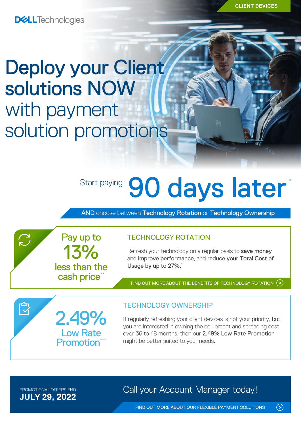**CLIENT DEVICES**

**DELL**Technologies

## Deploy your Client solutions NOW with payment solution promotions

# Start paying 90 days later<sup>\*</sup>

AND choose between Technology Rotation or Technology Ownership

TECHNOLOGY ROTATION

Refresh your technology on a regular basis to save money and improve performance, and reduce your Total Cost of Usage by up to 27%.<sup>1</sup>

FIND OUT MORE ABOUT THE [BENEFITS OF TECHNOLOGY ROTATION](https://www.delltechnologies.com/en-gb/payment-solutions/leasing.htm#tab0=0)  $($ 



13%

Pay up to

less than the cash price\*

### TECHNOLOGY OWNERSHIP

If regularly refreshing your client devices is not your priority, but you are interested in owning the equipment and spreading cost over 36 to 48 months, then our 2.49% Low Rate Promotion might be better suited to your needs.

**JULY 29, 2022**

 $\sum$ 

 $\bar{\mathbb{Z}}$ 

PROMOTIONAL OFFERS END **Call your Account Manager today!** 

FIND OUT MORE ABOUT OUR [FLEXIBLE PAYMENT SOLUTIONS](https://www.delltechnologies.com/en-gb/payment-solutions/index.htm#tab0=0)

 $\odot$